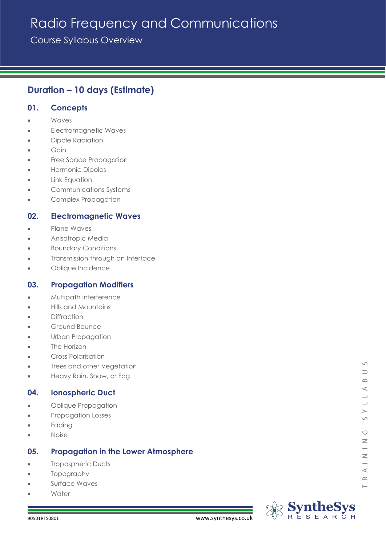# Radio Frequency and Communications

Course Syllabus Overview

## **Duration – 10 days (Estimate)**

## **01. Concepts**

- Waves
- Electromagnetic Waves
- Dipole Radiation
- **Gain**
- Free Space Propagation
- Harmonic Dipoles
- **Link Equation**
- Communications Systems
- Complex Propagation

## **02. Electromagnetic Waves**

- Plane Waves
- Anisotropic Media
- Boundary Conditions
- Transmission through an Interface
- Oblique Incidence

#### **03. Propagation Modifiers**

- Multipath Interference
- Hills and Mountains
- Diffraction
- Ground Bounce
- Urban Propagation
- The Horizon
- Cross Polarisation
- Trees and other Vegetation
- Heavy Rain, Snow, or Fog

## **04. Ionospheric Duct**

- Oblique Propagation
- Propagation Losses
- **Fading**
- Noise

## **05. Propagation in the Lower Atmosphere**

- Tropospheric Ducts
- Topography
- Surface Waves
- **Water**



 $\circ$  $\supset$  $\infty$  $\prec$ 

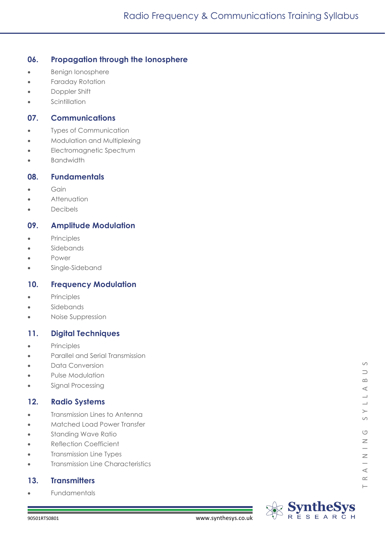## **06. Propagation through the Ionosphere**

- Benign Ionosphere
- Faraday Rotation
- Doppler Shift
- **Scintillation**

#### **07. Communications**

- **Types of Communication**
- Modulation and Multiplexing
- Electromagnetic Spectrum
- Bandwidth

#### **08. Fundamentals**

- Gain
- **Attenuation**
- Decibels

## **09. Amplitude Modulation**

- Principles
- **Sidebands**
- Power
- Single-Sideband

## **10. Frequency Modulation**

- Principles
- **Sidebands**
- Noise Suppression

## **11. Digital Techniques**

- Principles
- Parallel and Serial Transmission
- Data Conversion
- Pulse Modulation
- Signal Processing

## **12. Radio Systems**

- **Transmission Lines to Antenna**
- Matched Load Power Transfer
- Standing Wave Ratio
- Reflection Coefficient
- Transmission Line Types
- Transmission Line Characteristics

## **13. Transmitters**

**Fundamentals** 



 $\circ$ 

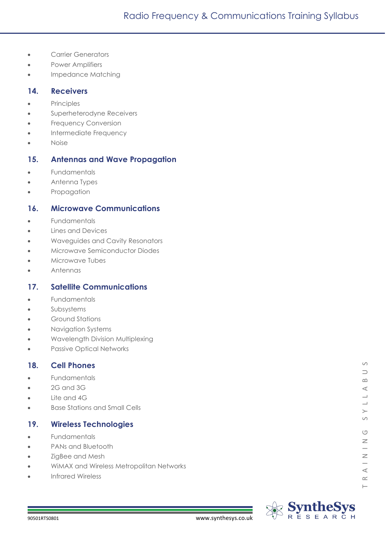- Carrier Generators
- Power Amplifiers
- Impedance Matching

#### **14. Receivers**

- Principles
- Superheterodyne Receivers
- **Frequency Conversion**
- Intermediate Frequency
- Noise

#### **15. Antennas and Wave Propagation**

- Fundamentals
- Antenna Types
- Propagation

#### **16. Microwave Communications**

- Fundamentals
- Lines and Devices
- Waveguides and Cavity Resonators
- Microwave Semiconductor Diodes
- Microwave Tubes
- Antennas

#### **17. Satellite Communications**

- **Fundamentals**
- Subsystems
- Ground Stations
- Navigation Systems
- Wavelength Division Multiplexing
- Passive Optical Networks

#### **18. Cell Phones**

- **Fundamentals**
- $\bullet$  2G and 3G
- Lite and 4G
- Base Stations and Small Cells

#### **19. Wireless Technologies**

- Fundamentals
- PANs and Bluetooth
- ZigBee and Mesh
- WiMAX and Wireless Metropolitan Networks
- Infrared Wireless



 $\circ$